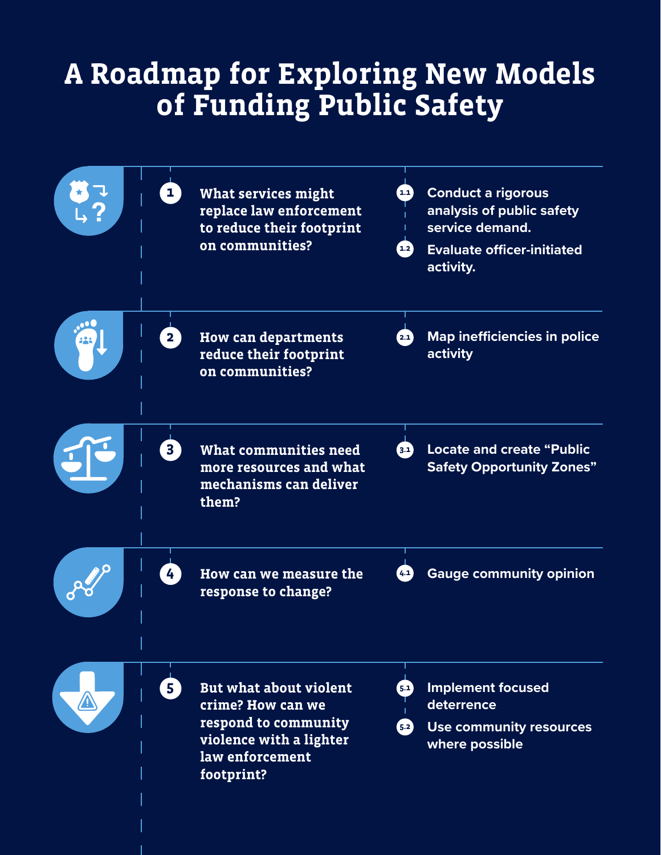# **A Roadmap for Exploring New Models of Funding Public Safety**

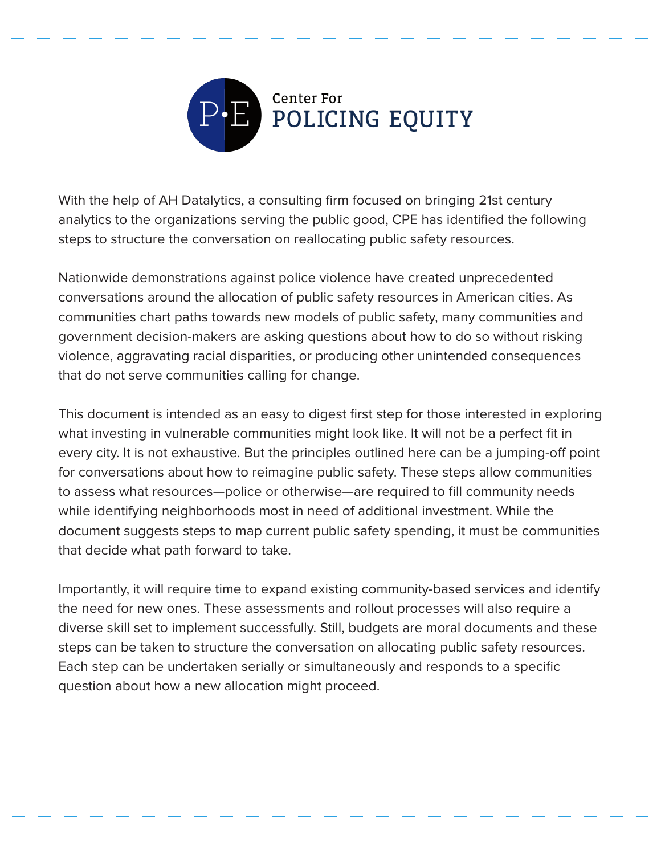

With the help of AH Datalytics, a consulting firm focused on bringing 21st century analytics to the organizations serving the public good, CPE has identified the following steps to structure the conversation on reallocating public safety resources.

Nationwide demonstrations against police violence have created unprecedented conversations around the allocation of public safety resources in American cities. As communities chart paths towards new models of public safety, many communities and government decision-makers are asking questions about how to do so without risking violence, aggravating racial disparities, or producing other unintended consequences that do not serve communities calling for change.

This document is intended as an easy to digest first step for those interested in exploring what investing in vulnerable communities might look like. It will not be a perfect fit in every city. It is not exhaustive. But the principles outlined here can be a jumping-off point for conversations about how to reimagine public safety. These steps allow communities to assess what resources—police or otherwise—are required to fill community needs while identifying neighborhoods most in need of additional investment. While the document suggests steps to map current public safety spending, it must be communities that decide what path forward to take.

Importantly, it will require time to expand existing community-based services and identify the need for new ones. These assessments and rollout processes will also require a diverse skill set to implement successfully. Still, budgets are moral documents and these steps can be taken to structure the conversation on allocating public safety resources. Each step can be undertaken serially or simultaneously and responds to a specific question about how a new allocation might proceed.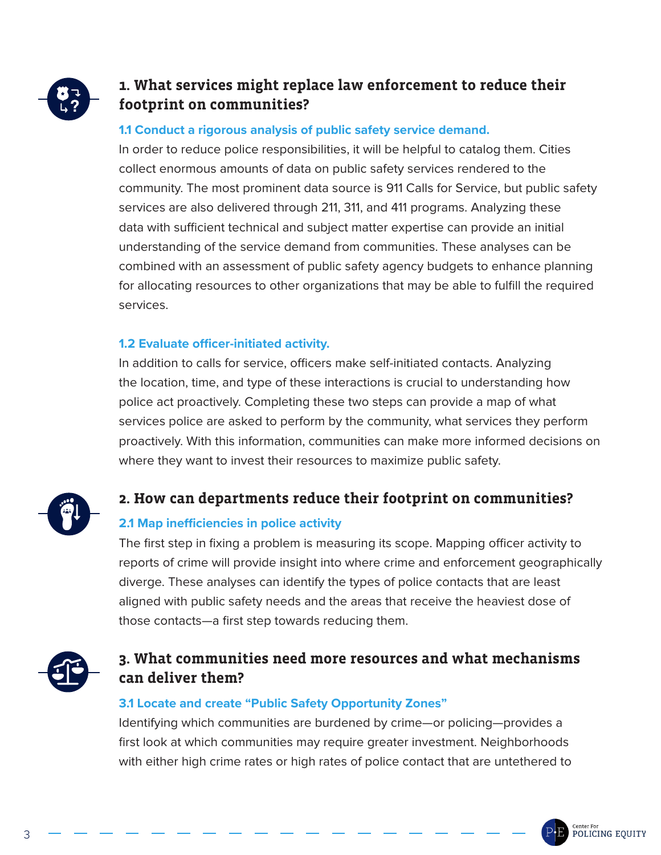

# **1. What services might replace law enforcement to reduce their footprint on communities?**

#### **1.1 Conduct a rigorous analysis of public safety service demand.**

In order to reduce police responsibilities, it will be helpful to catalog them. Cities collect enormous amounts of data on public safety services rendered to the community. The most prominent data source is 911 Calls for Service, but public safety services are also delivered through 211, 311, and 411 programs. Analyzing these data with sufficient technical and subject matter expertise can provide an initial understanding of the service demand from communities. These analyses can be combined with an assessment of public safety agency budgets to enhance planning for allocating resources to other organizations that may be able to fulfill the required services.

#### **1.2 Evaluate officer-initiated activity.**

In addition to calls for service, officers make self-initiated contacts. Analyzing the location, time, and type of these interactions is crucial to understanding how police act proactively. Completing these two steps can provide a map of what services police are asked to perform by the community, what services they perform proactively. With this information, communities can make more informed decisions on where they want to invest their resources to maximize public safety.

## **2. How can departments reduce their footprint on communities?**

## **2.1 Map inefficiencies in police activity**

The first step in fixing a problem is measuring its scope. Mapping officer activity to reports of crime will provide insight into where crime and enforcement geographically diverge. These analyses can identify the types of police contacts that are least aligned with public safety needs and the areas that receive the heaviest dose of those contacts—a first step towards reducing them.



# **3. What communities need more resources and what mechanisms can deliver them?**

### **3.1 Locate and create "Public Safety Opportunity Zones"**

Identifying which communities are burdened by crime—or policing—provides a first look at which communities may require greater investment. Neighborhoods with either high crime rates or high rates of police contact that are untethered to

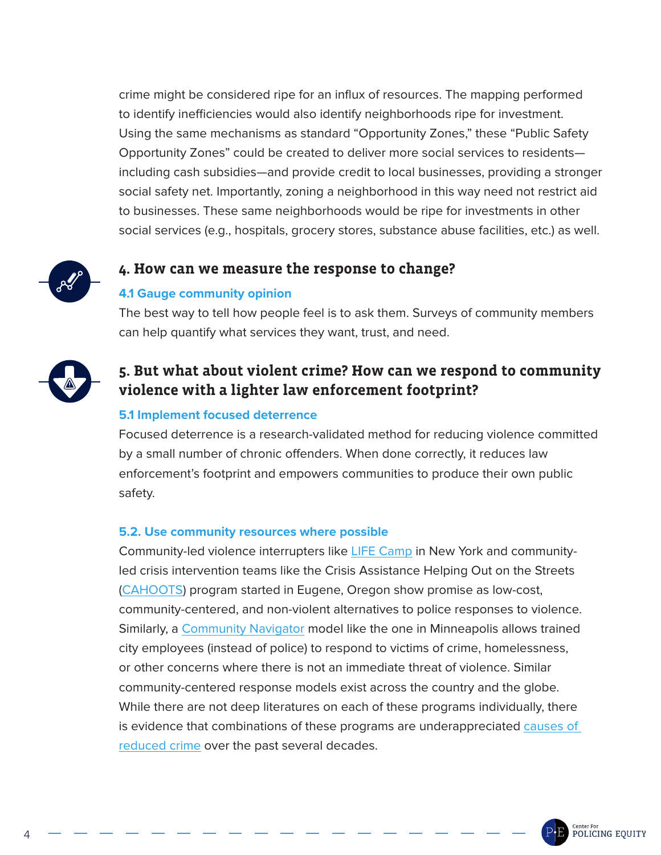crime might be considered ripe for an influx of resources. The mapping performed to identify inefficiencies would also identify neighborhoods ripe for investment. Using the same mechanisms as standard "Opportunity Zones," these "Public Safety Opportunity Zones" could be created to deliver more social services to residents including cash subsidies—and provide credit to local businesses, providing a stronger social safety net. Importantly, zoning a neighborhood in this way need not restrict aid to businesses. These same neighborhoods would be ripe for investments in other social services (e.g., hospitals, grocery stores, substance abuse facilities, etc.) as well.



## **4. How can we measure the response to change?**

#### **4.1 Gauge community opinion**

The best way to tell how people feel is to ask them. Surveys of community members can help quantify what services they want, trust, and need.



# **5. But what about violent crime? How can we respond to community violence with a lighter law enforcement footprint?**

#### **5.1 Implement focused deterrence**

Focused deterrence is a research-validated method for reducing violence committed by a small number of chronic offenders. When done correctly, it reduces law enforcement's footprint and empowers communities to produce their own public safety.

#### **5.2. Use community resources where possible**

Community-led violence interrupters like [LIFE Camp](https://www.peaceisalifestyle.com/) in New York and communityled crisis intervention teams like the Crisis Assistance Helping Out on the Streets [\(CAHOOTS\)](https://whitebirdclinic.org/category/cahoots/) program started in Eugene, Oregon show promise as low-cost, community-centered, and non-violent alternatives to police responses to violence. Similarly, a [Community Navigator](http://www2.minneapolismn.gov/police/about/WCMSP-220186) model like the one in Minneapolis allows trained city employees (instead of police) to respond to victims of crime, homelessness, or other concerns where there is not an immediate threat of violence. Similar community-centered response models exist across the country and the globe. While there are not deep literatures on each of these programs individually, there is evidence that combinations of these programs are underappreciated [causes of](https://www.nytimes.com/2018/06/22/books/review/uneasy-peace-patrick-sharkey.html#:~:text=The%20)  [reduced crime](https://www.nytimes.com/2018/06/22/books/review/uneasy-peace-patrick-sharkey.html#:~:text=The%20) over the past several decades.